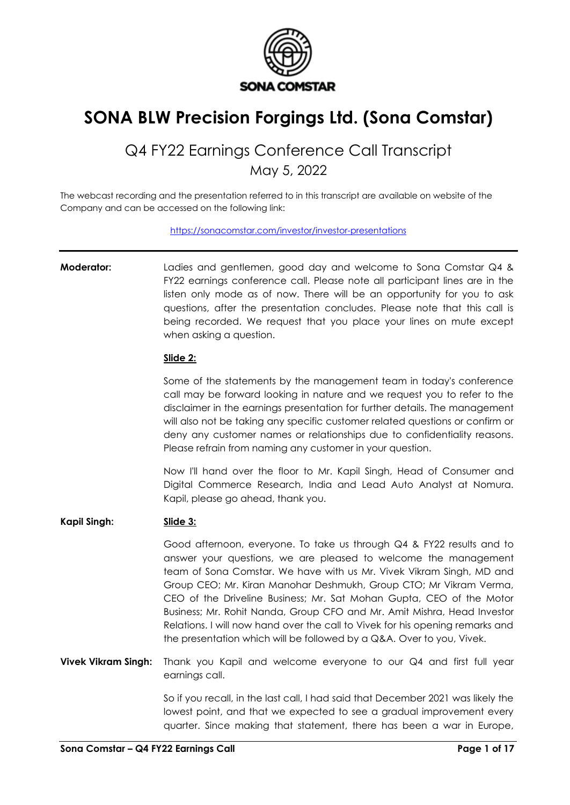

# **SONA BLW Precision Forgings Ltd. (Sona Comstar)**

## Q4 FY22 Earnings Conference Call Transcript May 5, 2022

The webcast recording and the presentation referred to in this transcript are available on website of the Company and can be accessed on the following link:

<https://sonacomstar.com/investor/investor-presentations>

**Moderator:** Ladies and gentlemen, good day and welcome to Sona Comstar Q4 & FY22 earnings conference call. Please note all participant lines are in the listen only mode as of now. There will be an opportunity for you to ask questions, after the presentation concludes. Please note that this call is being recorded. We request that you place your lines on mute except when asking a question.

#### **Slide 2:**

Some of the statements by the management team in today's conference call may be forward looking in nature and we request you to refer to the disclaimer in the earnings presentation for further details. The management will also not be taking any specific customer related questions or confirm or deny any customer names or relationships due to confidentiality reasons. Please refrain from naming any customer in your question.

Now I'll hand over the floor to Mr. Kapil Singh, Head of Consumer and Digital Commerce Research, India and Lead Auto Analyst at Nomura. Kapil, please go ahead, thank you.

#### **Kapil Singh: Slide 3:**

Good afternoon, everyone. To take us through Q4 & FY22 results and to answer your questions, we are pleased to welcome the management team of Sona Comstar. We have with us Mr. Vivek Vikram Singh, MD and Group CEO; Mr. Kiran Manohar Deshmukh, Group CTO; Mr Vikram Verma, CEO of the Driveline Business; Mr. Sat Mohan Gupta, CEO of the Motor Business; Mr. Rohit Nanda, Group CFO and Mr. Amit Mishra, Head Investor Relations. I will now hand over the call to Vivek for his opening remarks and the presentation which will be followed by a Q&A. Over to you, Vivek.

**Vivek Vikram Singh:** Thank you Kapil and welcome everyone to our Q4 and first full year earnings call.

> So if you recall, in the last call, I had said that December 2021 was likely the lowest point, and that we expected to see a gradual improvement every quarter. Since making that statement, there has been a war in Europe,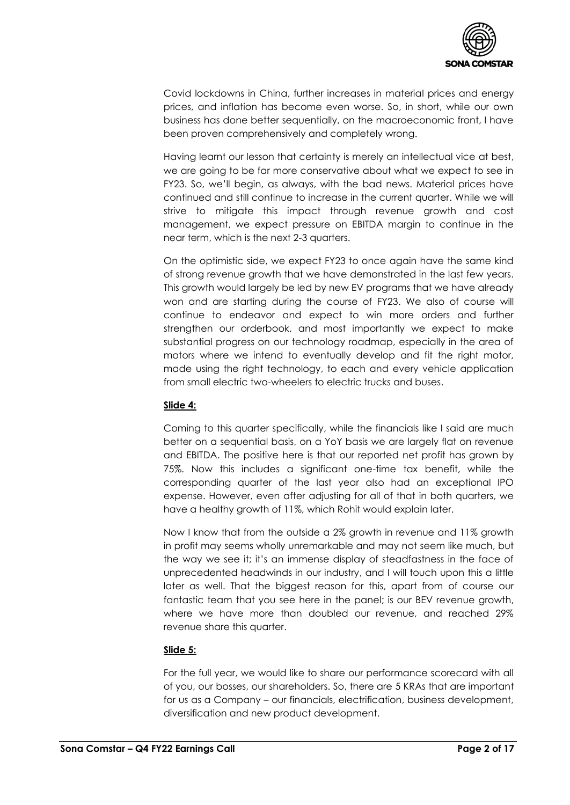

Covid lockdowns in China, further increases in material prices and energy prices, and inflation has become even worse. So, in short, while our own business has done better sequentially, on the macroeconomic front, I have been proven comprehensively and completely wrong.

Having learnt our lesson that certainty is merely an intellectual vice at best, we are going to be far more conservative about what we expect to see in FY23. So, we'll begin, as always, with the bad news. Material prices have continued and still continue to increase in the current quarter. While we will strive to mitigate this impact through revenue growth and cost management, we expect pressure on EBITDA margin to continue in the near term, which is the next 2-3 quarters.

On the optimistic side, we expect FY23 to once again have the same kind of strong revenue growth that we have demonstrated in the last few years. This growth would largely be led by new EV programs that we have already won and are starting during the course of FY23. We also of course will continue to endeavor and expect to win more orders and further strengthen our orderbook, and most importantly we expect to make substantial progress on our technology roadmap, especially in the area of motors where we intend to eventually develop and fit the right motor, made using the right technology, to each and every vehicle application from small electric two-wheelers to electric trucks and buses.

## **Slide 4:**

Coming to this quarter specifically, while the financials like I said are much better on a sequential basis, on a YoY basis we are largely flat on revenue and EBITDA. The positive here is that our reported net profit has grown by 75%. Now this includes a significant one-time tax benefit, while the corresponding quarter of the last year also had an exceptional IPO expense. However, even after adjusting for all of that in both quarters, we have a healthy growth of 11%, which Rohit would explain later.

Now I know that from the outside a 2% growth in revenue and 11% growth in profit may seems wholly unremarkable and may not seem like much, but the way we see it; it's an immense display of steadfastness in the face of unprecedented headwinds in our industry, and I will touch upon this a little later as well. That the biggest reason for this, apart from of course our fantastic team that you see here in the panel; is our BEV revenue growth, where we have more than doubled our revenue, and reached 29% revenue share this quarter.

## **Slide 5:**

For the full year, we would like to share our performance scorecard with all of you, our bosses, our shareholders. So, there are 5 KRAs that are important for us as a Company – our financials, electrification, business development, diversification and new product development.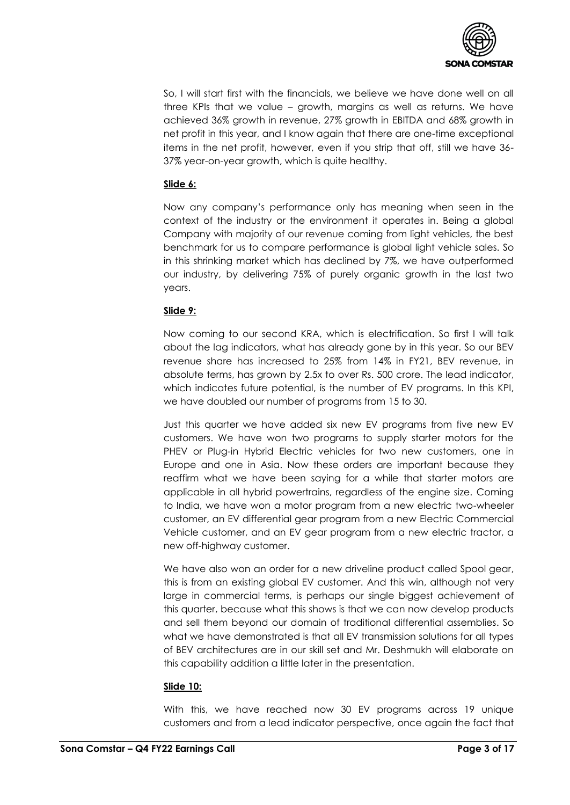

So, I will start first with the financials, we believe we have done well on all three KPIs that we value – growth, margins as well as returns. We have achieved 36% growth in revenue, 27% growth in EBITDA and 68% growth in net profit in this year, and I know again that there are one-time exceptional items in the net profit, however, even if you strip that off, still we have 36- 37% year-on-year growth, which is quite healthy.

## **Slide 6:**

Now any company's performance only has meaning when seen in the context of the industry or the environment it operates in. Being a global Company with majority of our revenue coming from light vehicles, the best benchmark for us to compare performance is global light vehicle sales. So in this shrinking market which has declined by 7%, we have outperformed our industry, by delivering 75% of purely organic growth in the last two years.

## **Slide 9:**

Now coming to our second KRA, which is electrification. So first I will talk about the lag indicators, what has already gone by in this year. So our BEV revenue share has increased to 25% from 14% in FY21, BEV revenue, in absolute terms, has grown by 2.5x to over Rs. 500 crore. The lead indicator, which indicates future potential, is the number of EV programs. In this KPI, we have doubled our number of programs from 15 to 30.

Just this quarter we have added six new EV programs from five new EV customers. We have won two programs to supply starter motors for the PHEV or Plug-in Hybrid Electric vehicles for two new customers, one in Europe and one in Asia. Now these orders are important because they reaffirm what we have been saying for a while that starter motors are applicable in all hybrid powertrains, regardless of the engine size. Coming to India, we have won a motor program from a new electric two-wheeler customer, an EV differential gear program from a new Electric Commercial Vehicle customer, and an EV gear program from a new electric tractor, a new off-highway customer.

We have also won an order for a new driveline product called Spool gear, this is from an existing global EV customer. And this win, although not very large in commercial terms, is perhaps our single biggest achievement of this quarter, because what this shows is that we can now develop products and sell them beyond our domain of traditional differential assemblies. So what we have demonstrated is that all EV transmission solutions for all types of BEV architectures are in our skill set and Mr. Deshmukh will elaborate on this capability addition a little later in the presentation.

## **Slide 10:**

With this, we have reached now 30 EV programs across 19 unique customers and from a lead indicator perspective, once again the fact that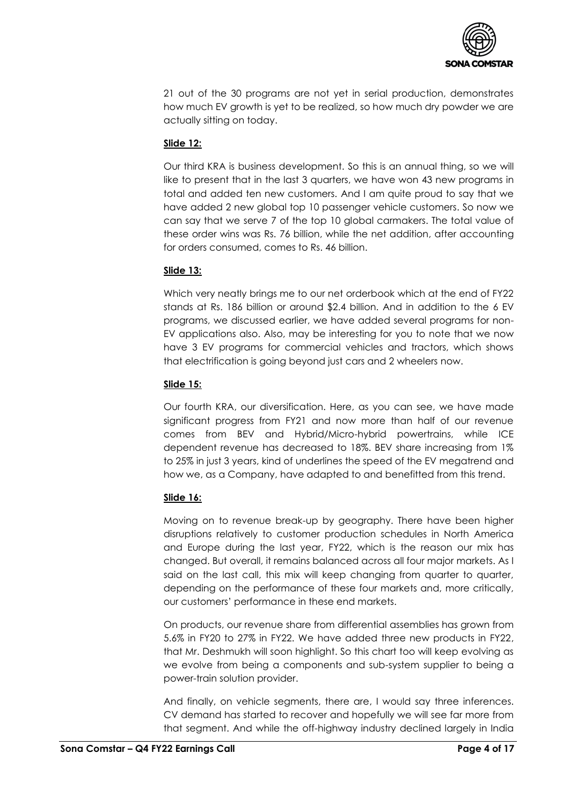

21 out of the 30 programs are not yet in serial production, demonstrates how much EV growth is yet to be realized, so how much dry powder we are actually sitting on today.

## **Slide 12:**

Our third KRA is business development. So this is an annual thing, so we will like to present that in the last 3 quarters, we have won 43 new programs in total and added ten new customers. And I am quite proud to say that we have added 2 new global top 10 passenger vehicle customers. So now we can say that we serve 7 of the top 10 global carmakers. The total value of these order wins was Rs. 76 billion, while the net addition, after accounting for orders consumed, comes to Rs. 46 billion.

## **Slide 13:**

Which very neatly brings me to our net orderbook which at the end of FY22 stands at Rs. 186 billion or around \$2.4 billion. And in addition to the 6 EV programs, we discussed earlier, we have added several programs for non-EV applications also. Also, may be interesting for you to note that we now have 3 EV programs for commercial vehicles and tractors, which shows that electrification is going beyond just cars and 2 wheelers now.

## **Slide 15:**

Our fourth KRA, our diversification. Here, as you can see, we have made significant progress from FY21 and now more than half of our revenue comes from BEV and Hybrid/Micro-hybrid powertrains, while ICE dependent revenue has decreased to 18%. BEV share increasing from 1% to 25% in just 3 years, kind of underlines the speed of the EV megatrend and how we, as a Company, have adapted to and benefitted from this trend.

## **Slide 16:**

Moving on to revenue break-up by geography. There have been higher disruptions relatively to customer production schedules in North America and Europe during the last year, FY22, which is the reason our mix has changed. But overall, it remains balanced across all four major markets. As I said on the last call, this mix will keep changing from quarter to quarter, depending on the performance of these four markets and, more critically, our customers' performance in these end markets.

On products, our revenue share from differential assemblies has grown from 5.6% in FY20 to 27% in FY22. We have added three new products in FY22, that Mr. Deshmukh will soon highlight. So this chart too will keep evolving as we evolve from being a components and sub-system supplier to being a power-train solution provider.

And finally, on vehicle segments, there are, I would say three inferences. CV demand has started to recover and hopefully we will see far more from that segment. And while the off-highway industry declined largely in India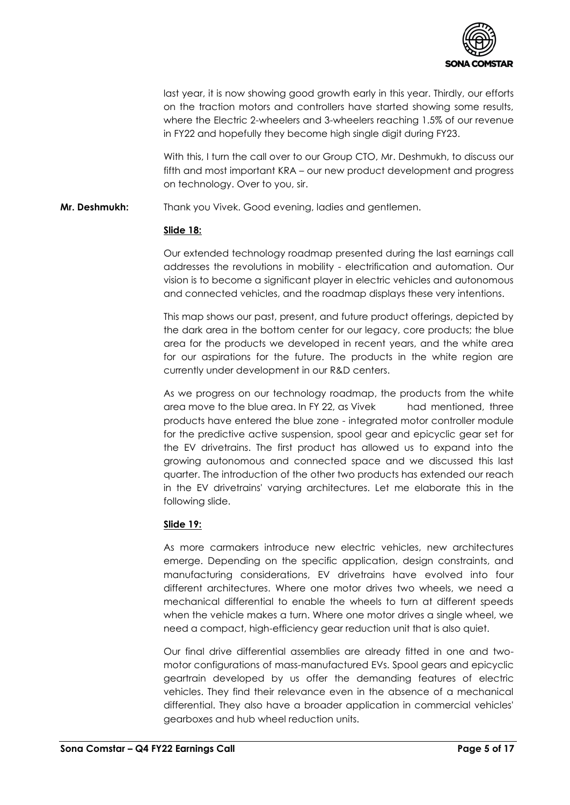

last year, it is now showing good growth early in this year. Thirdly, our efforts on the traction motors and controllers have started showing some results, where the Electric 2-wheelers and 3-wheelers reaching 1.5% of our revenue in FY22 and hopefully they become high single digit during FY23.

With this, I turn the call over to our Group CTO, Mr. Deshmukh, to discuss our fifth and most important KRA – our new product development and progress on technology. Over to you, sir.

**Mr. Deshmukh:** Thank you Vivek. Good evening, ladies and gentlemen.

#### **Slide 18:**

Our extended technology roadmap presented during the last earnings call addresses the revolutions in mobility - electrification and automation. Our vision is to become a significant player in electric vehicles and autonomous and connected vehicles, and the roadmap displays these very intentions.

This map shows our past, present, and future product offerings, depicted by the dark area in the bottom center for our legacy, core products; the blue area for the products we developed in recent years, and the white area for our aspirations for the future. The products in the white region are currently under development in our R&D centers.

As we progress on our technology roadmap, the products from the white area move to the blue area. In FY 22, as Vivek had mentioned, three products have entered the blue zone - integrated motor controller module for the predictive active suspension, spool gear and epicyclic gear set for the EV drivetrains. The first product has allowed us to expand into the growing autonomous and connected space and we discussed this last quarter. The introduction of the other two products has extended our reach in the EV drivetrains' varying architectures. Let me elaborate this in the following slide.

## **Slide 19:**

As more carmakers introduce new electric vehicles, new architectures emerge. Depending on the specific application, design constraints, and manufacturing considerations, EV drivetrains have evolved into four different architectures. Where one motor drives two wheels, we need a mechanical differential to enable the wheels to turn at different speeds when the vehicle makes a turn. Where one motor drives a single wheel, we need a compact, high-efficiency gear reduction unit that is also quiet.

Our final drive differential assemblies are already fitted in one and twomotor configurations of mass-manufactured EVs. Spool gears and epicyclic geartrain developed by us offer the demanding features of electric vehicles. They find their relevance even in the absence of a mechanical differential. They also have a broader application in commercial vehicles' gearboxes and hub wheel reduction units.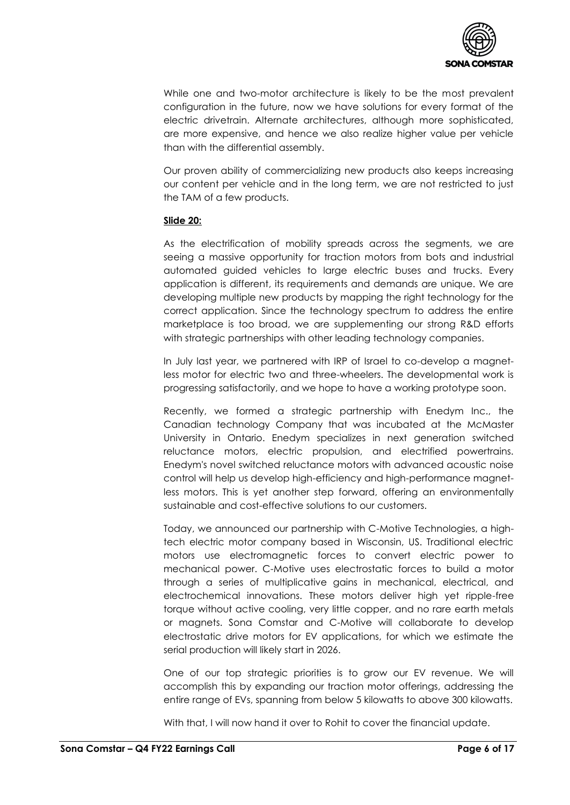

While one and two-motor architecture is likely to be the most prevalent configuration in the future, now we have solutions for every format of the electric drivetrain. Alternate architectures, although more sophisticated, are more expensive, and hence we also realize higher value per vehicle than with the differential assembly.

Our proven ability of commercializing new products also keeps increasing our content per vehicle and in the long term, we are not restricted to just the TAM of a few products.

#### **Slide 20:**

As the electrification of mobility spreads across the segments, we are seeing a massive opportunity for traction motors from bots and industrial automated guided vehicles to large electric buses and trucks. Every application is different, its requirements and demands are unique. We are developing multiple new products by mapping the right technology for the correct application. Since the technology spectrum to address the entire marketplace is too broad, we are supplementing our strong R&D efforts with strategic partnerships with other leading technology companies.

In July last year, we partnered with IRP of Israel to co-develop a magnetless motor for electric two and three-wheelers. The developmental work is progressing satisfactorily, and we hope to have a working prototype soon.

Recently, we formed a strategic partnership with Enedym Inc., the Canadian technology Company that was incubated at the McMaster University in Ontario. Enedym specializes in next generation switched reluctance motors, electric propulsion, and electrified powertrains. Enedym's novel switched reluctance motors with advanced acoustic noise control will help us develop high-efficiency and high-performance magnetless motors. This is yet another step forward, offering an environmentally sustainable and cost-effective solutions to our customers.

Today, we announced our partnership with C-Motive Technologies, a hightech electric motor company based in Wisconsin, US. Traditional electric motors use electromagnetic forces to convert electric power to mechanical power. C-Motive uses electrostatic forces to build a motor through a series of multiplicative gains in mechanical, electrical, and electrochemical innovations. These motors deliver high yet ripple-free torque without active cooling, very little copper, and no rare earth metals or magnets. Sona Comstar and C-Motive will collaborate to develop electrostatic drive motors for EV applications, for which we estimate the serial production will likely start in 2026.

One of our top strategic priorities is to grow our EV revenue. We will accomplish this by expanding our traction motor offerings, addressing the entire range of EVs, spanning from below 5 kilowatts to above 300 kilowatts.

With that, I will now hand it over to Rohit to cover the financial update.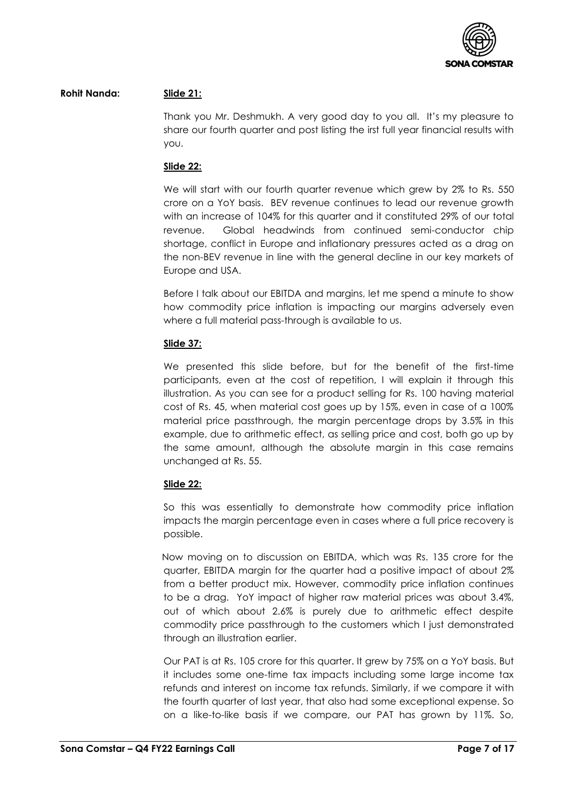

### **Rohit Nanda: Slide 21:**

Thank you Mr. Deshmukh. A very good day to you all. It's my pleasure to share our fourth quarter and post listing the irst full year financial results with you.

#### **Slide 22:**

We will start with our fourth quarter revenue which grew by 2% to Rs. 550 crore on a YoY basis. BEV revenue continues to lead our revenue growth with an increase of 104% for this quarter and it constituted 29% of our total revenue. Global headwinds from continued semi-conductor chip shortage, conflict in Europe and inflationary pressures acted as a drag on the non-BEV revenue in line with the general decline in our key markets of Europe and USA.

Before I talk about our EBITDA and margins, let me spend a minute to show how commodity price inflation is impacting our margins adversely even where a full material pass-through is available to us.

#### **Slide 37:**

We presented this slide before, but for the benefit of the first-time participants, even at the cost of repetition, I will explain it through this illustration. As you can see for a product selling for Rs. 100 having material cost of Rs. 45, when material cost goes up by 15%, even in case of a 100% material price passthrough, the margin percentage drops by 3.5% in this example, due to arithmetic effect, as selling price and cost, both go up by the same amount, although the absolute margin in this case remains unchanged at Rs. 55.

## **Slide 22:**

So this was essentially to demonstrate how commodity price inflation impacts the margin percentage even in cases where a full price recovery is possible.

Now moving on to discussion on EBITDA, which was Rs. 135 crore for the quarter, EBITDA margin for the quarter had a positive impact of about 2% from a better product mix. However, commodity price inflation continues to be a drag. YoY impact of higher raw material prices was about 3.4%, out of which about 2.6% is purely due to arithmetic effect despite commodity price passthrough to the customers which I just demonstrated through an illustration earlier.

Our PAT is at Rs. 105 crore for this quarter. It grew by 75% on a YoY basis. But it includes some one-time tax impacts including some large income tax refunds and interest on income tax refunds. Similarly, if we compare it with the fourth quarter of last year, that also had some exceptional expense. So on a like-to-like basis if we compare, our PAT has grown by 11%. So,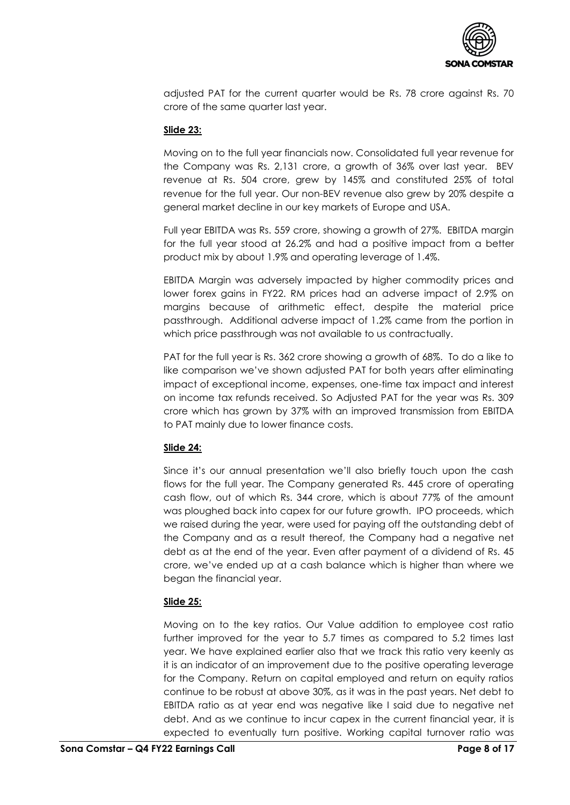

adjusted PAT for the current quarter would be Rs. 78 crore against Rs. 70 crore of the same quarter last year.

#### **Slide 23:**

Moving on to the full year financials now. Consolidated full year revenue for the Company was Rs. 2,131 crore, a growth of 36% over last year. BEV revenue at Rs. 504 crore, grew by 145% and constituted 25% of total revenue for the full year. Our non-BEV revenue also grew by 20% despite a general market decline in our key markets of Europe and USA.

Full year EBITDA was Rs. 559 crore, showing a growth of 27%. EBITDA margin for the full year stood at 26.2% and had a positive impact from a better product mix by about 1.9% and operating leverage of 1.4%.

EBITDA Margin was adversely impacted by higher commodity prices and lower forex gains in FY22. RM prices had an adverse impact of 2.9% on margins because of arithmetic effect, despite the material price passthrough. Additional adverse impact of 1.2% came from the portion in which price passthrough was not available to us contractually.

PAT for the full year is Rs. 362 crore showing a growth of 68%. To do a like to like comparison we've shown adjusted PAT for both years after eliminating impact of exceptional income, expenses, one-time tax impact and interest on income tax refunds received. So Adjusted PAT for the year was Rs. 309 crore which has grown by 37% with an improved transmission from EBITDA to PAT mainly due to lower finance costs.

## **Slide 24:**

Since it's our annual presentation we'll also briefly touch upon the cash flows for the full year. The Company generated Rs. 445 crore of operating cash flow, out of which Rs. 344 crore, which is about 77% of the amount was ploughed back into capex for our future growth. IPO proceeds, which we raised during the year, were used for paying off the outstanding debt of the Company and as a result thereof, the Company had a negative net debt as at the end of the year. Even after payment of a dividend of Rs. 45 crore, we've ended up at a cash balance which is higher than where we began the financial year.

## **Slide 25:**

Moving on to the key ratios. Our Value addition to employee cost ratio further improved for the year to 5.7 times as compared to 5.2 times last year. We have explained earlier also that we track this ratio very keenly as it is an indicator of an improvement due to the positive operating leverage for the Company. Return on capital employed and return on equity ratios continue to be robust at above 30%, as it was in the past years. Net debt to EBITDA ratio as at year end was negative like I said due to negative net debt. And as we continue to incur capex in the current financial year, it is expected to eventually turn positive. Working capital turnover ratio was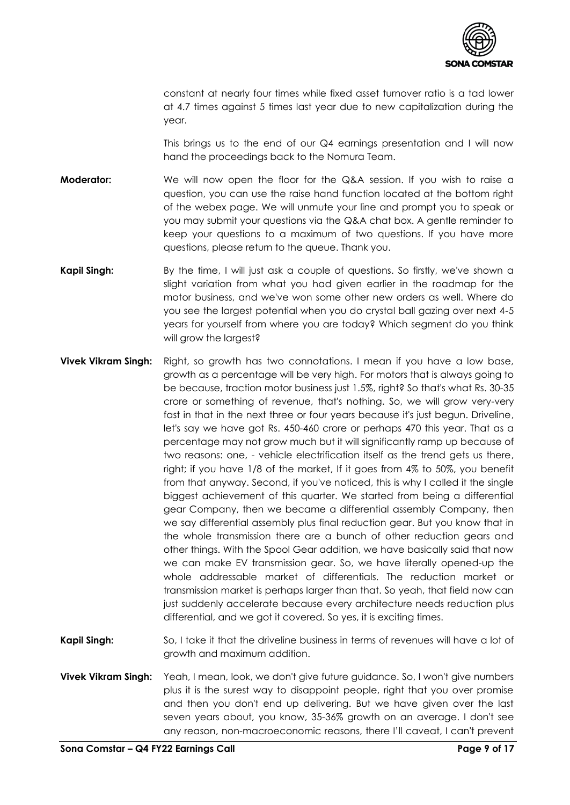

constant at nearly four times while fixed asset turnover ratio is a tad lower at 4.7 times against 5 times last year due to new capitalization during the year.

This brings us to the end of our Q4 earnings presentation and I will now hand the proceedings back to the Nomura Team.

- **Moderator:** We will now open the floor for the Q&A session. If you wish to raise a question, you can use the raise hand function located at the bottom right of the webex page. We will unmute your line and prompt you to speak or you may submit your questions via the Q&A chat box. A gentle reminder to keep your questions to a maximum of two questions. If you have more questions, please return to the queue. Thank you.
- **Kapil Singh:** By the time, I will just ask a couple of questions. So firstly, we've shown a slight variation from what you had given earlier in the roadmap for the motor business, and we've won some other new orders as well. Where do you see the largest potential when you do crystal ball gazing over next 4-5 years for yourself from where you are today? Which segment do you think will grow the largest?
- **Vivek Vikram Singh:** Right, so growth has two connotations. I mean if you have a low base, growth as a percentage will be very high. For motors that is always going to be because, traction motor business just 1.5%, right? So that's what Rs. 30-35 crore or something of revenue, that's nothing. So, we will grow very-very fast in that in the next three or four years because it's just begun. Driveline, let's say we have got Rs. 450-460 crore or perhaps 470 this year. That as a percentage may not grow much but it will significantly ramp up because of two reasons: one, - vehicle electrification itself as the trend gets us there, right; if you have 1/8 of the market, If it goes from 4% to 50%, you benefit from that anyway. Second, if you've noticed, this is why I called it the single biggest achievement of this quarter. We started from being a differential gear Company, then we became a differential assembly Company, then we say differential assembly plus final reduction gear. But you know that in the whole transmission there are a bunch of other reduction gears and other things. With the Spool Gear addition, we have basically said that now we can make EV transmission gear. So, we have literally opened-up the whole addressable market of differentials. The reduction market or transmission market is perhaps larger than that. So yeah, that field now can just suddenly accelerate because every architecture needs reduction plus differential, and we got it covered. So yes, it is exciting times.
- **Kapil Singh:** So, I take it that the driveline business in terms of revenues will have a lot of growth and maximum addition.
- **Vivek Vikram Singh:** Yeah, I mean, look, we don't give future guidance. So, I won't give numbers plus it is the surest way to disappoint people, right that you over promise and then you don't end up delivering. But we have given over the last seven years about, you know, 35-36% growth on an average. I don't see any reason, non-macroeconomic reasons, there I'll caveat, I can't prevent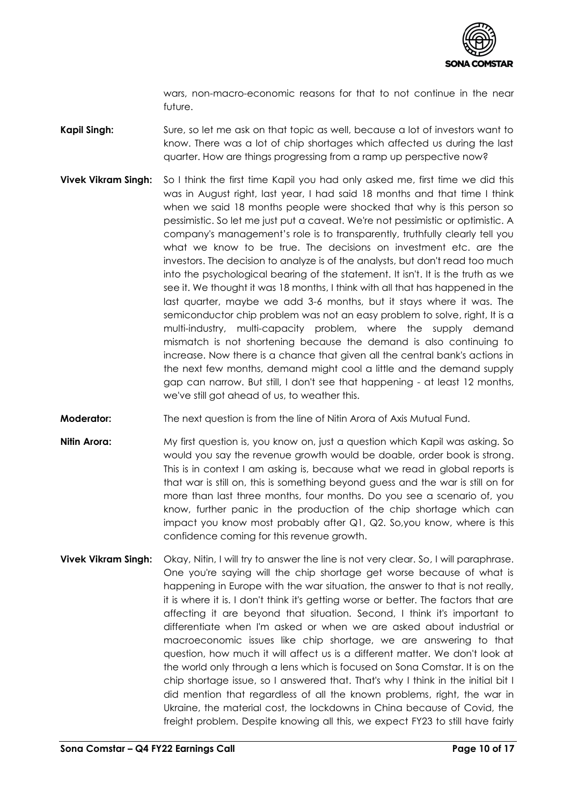

wars, non-macro-economic reasons for that to not continue in the near future.

- **Kapil Singh:** Sure, so let me ask on that topic as well, because a lot of investors want to know. There was a lot of chip shortages which affected us during the last quarter. How are things progressing from a ramp up perspective now?
- **Vivek Vikram Singh:** So I think the first time Kapil you had only asked me, first time we did this was in August right, last year, I had said 18 months and that time I think when we said 18 months people were shocked that why is this person so pessimistic. So let me just put a caveat. We're not pessimistic or optimistic. A company's management's role is to transparently, truthfully clearly tell you what we know to be true. The decisions on investment etc. are the investors. The decision to analyze is of the analysts, but don't read too much into the psychological bearing of the statement. It isn't. It is the truth as we see it. We thought it was 18 months, I think with all that has happened in the last quarter, maybe we add 3-6 months, but it stays where it was. The semiconductor chip problem was not an easy problem to solve, right, It is a multi-industry, multi-capacity problem, where the supply demand mismatch is not shortening because the demand is also continuing to increase. Now there is a chance that given all the central bank's actions in the next few months, demand might cool a little and the demand supply gap can narrow. But still, I don't see that happening - at least 12 months, we've still got ahead of us, to weather this.
- **Moderator:** The next question is from the line of Nitin Arora of Axis Mutual Fund.
- **Nitin Arora:** My first question is, you know on, just a question which Kapil was asking. So would you say the revenue growth would be doable, order book is strong. This is in context I am asking is, because what we read in global reports is that war is still on, this is something beyond guess and the war is still on for more than last three months, four months. Do you see a scenario of, you know, further panic in the production of the chip shortage which can impact you know most probably after Q1, Q2. So,you know, where is this confidence coming for this revenue growth.
- **Vivek Vikram Singh:** Okay, Nitin, I will try to answer the line is not very clear. So, I will paraphrase. One you're saying will the chip shortage get worse because of what is happening in Europe with the war situation, the answer to that is not really, it is where it is. I don't think it's getting worse or better. The factors that are affecting it are beyond that situation. Second, I think it's important to differentiate when I'm asked or when we are asked about industrial or macroeconomic issues like chip shortage, we are answering to that question, how much it will affect us is a different matter. We don't look at the world only through a lens which is focused on Sona Comstar. It is on the chip shortage issue, so I answered that. That's why I think in the initial bit I did mention that regardless of all the known problems, right, the war in Ukraine, the material cost, the lockdowns in China because of Covid, the freight problem. Despite knowing all this, we expect FY23 to still have fairly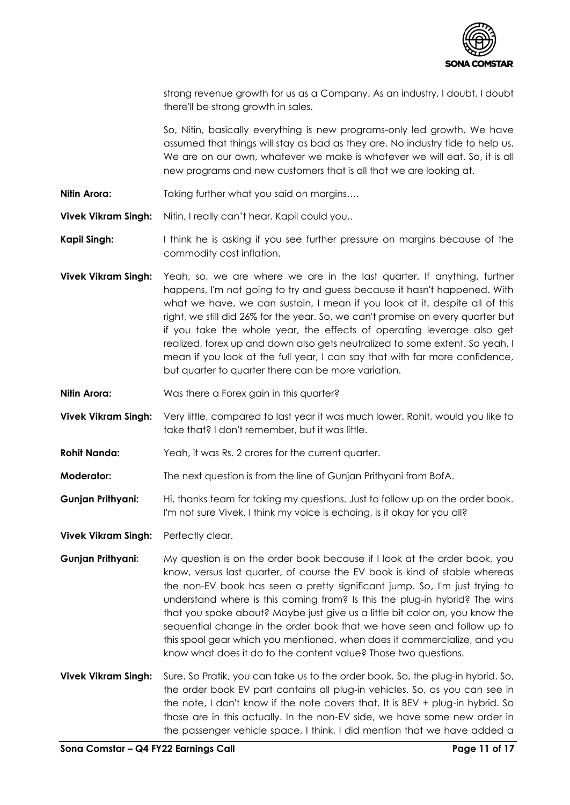

strong revenue growth for us as a Company. As an industry, I doubt, I doubt there'll be strong growth in sales.

So, Nitin, basically everything is new programs-only led growth. We have assumed that things will stay as bad as they are. No industry tide to help us. We are on our own, whatever we make is whatever we will eat. So, it is all new programs and new customers that is all that we are looking at.

**Nitin Arora:** Taking further what you said on margins....

**Vivek Vikram Singh:** Nitin, I really can't hear. Kapil could you..

**Kapil Singh:** I think he is asking if you see further pressure on margins because of the commodity cost inflation.

- **Vivek Vikram Singh:** Yeah, so, we are where we are in the last quarter. If anything, further happens, I'm not going to try and guess because it hasn't happened. With what we have, we can sustain, I mean if you look at it, despite all of this right, we still did 26% for the year. So, we can't promise on every quarter but if you take the whole year, the effects of operating leverage also get realized, forex up and down also gets neutralized to some extent. So yeah, I mean if you look at the full year, I can say that with far more confidence, but quarter to quarter there can be more variation.
- **Nitin Arora:** Was there a Forex gain in this quarter?

**Vivek Vikram Singh:** Very little, compared to last year it was much lower. Rohit, would you like to take that? I don't remember, but it was little.

- **Rohit Nanda:** Yeah, it was Rs. 2 crores for the current quarter.
- **Moderator:** The next question is from the line of Gunjan Prithyani from BofA.
- **Gunjan Prithyani:** Hi, thanks team for taking my questions. Just to follow up on the order book. I'm not sure Vivek, I think my voice is echoing, is it okay for you all?

**Vivek Vikram Singh:** Perfectly clear.

- **Gunjan Prithyani:** My question is on the order book because if I look at the order book, you know, versus last quarter, of course the EV book is kind of stable whereas the non-EV book has seen a pretty significant jump. So, I'm just trying to understand where is this coming from? Is this the plug-in hybrid? The wins that you spoke about? Maybe just give us a little bit color on, you know the sequential change in the order book that we have seen and follow up to this spool gear which you mentioned, when does it commercialize, and you know what does it do to the content value? Those two questions.
- **Vivek Vikram Singh:** Sure. So Pratik, you can take us to the order book. So, the plug-in hybrid. So, the order book EV part contains all plug-in vehicles. So, as you can see in the note, I don't know if the note covers that. It is BEV + plug-in hybrid. So those are in this actually. In the non-EV side, we have some new order in the passenger vehicle space, I think, I did mention that we have added a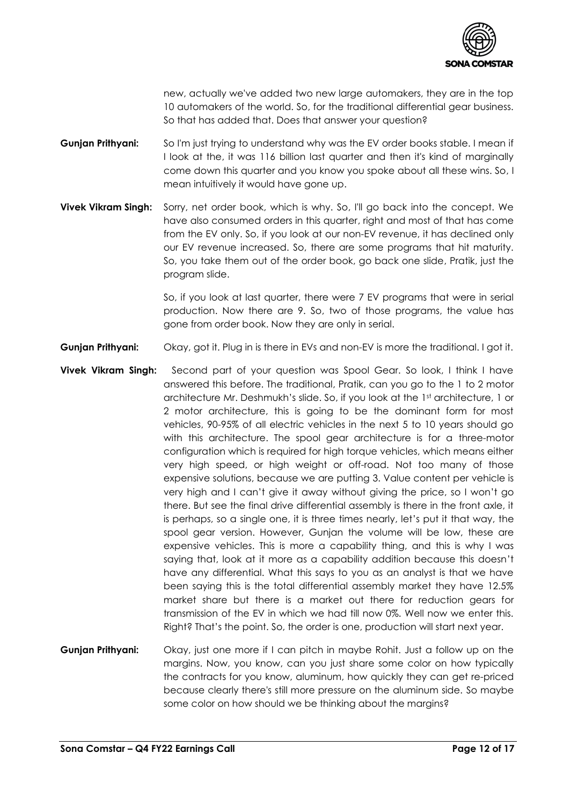

new, actually we've added two new large automakers, they are in the top 10 automakers of the world. So, for the traditional differential gear business. So that has added that. Does that answer your question?

- **Gunjan Prithyani:** So I'm just trying to understand why was the EV order books stable. I mean if I look at the, it was 116 billion last quarter and then it's kind of marginally come down this quarter and you know you spoke about all these wins. So, I mean intuitively it would have gone up.
- **Vivek Vikram Singh:** Sorry, net order book, which is why. So, I'll go back into the concept. We have also consumed orders in this quarter, right and most of that has come from the EV only. So, if you look at our non-EV revenue, it has declined only our EV revenue increased. So, there are some programs that hit maturity. So, you take them out of the order book, go back one slide, Pratik, just the program slide.

So, if you look at last quarter, there were 7 EV programs that were in serial production. Now there are 9. So, two of those programs, the value has gone from order book. Now they are only in serial.

- **Gunjan Prithyani:** Okay, got it. Plug in is there in EVs and non-EV is more the traditional. I got it.
- **Vivek Vikram Singh:** Second part of your question was Spool Gear. So look, I think I have answered this before. The traditional, Pratik, can you go to the 1 to 2 motor architecture Mr. Deshmukh's slide. So, if you look at the 1st architecture, 1 or 2 motor architecture, this is going to be the dominant form for most vehicles, 90-95% of all electric vehicles in the next 5 to 10 years should go with this architecture. The spool gear architecture is for a three-motor configuration which is required for high torque vehicles, which means either very high speed, or high weight or off-road. Not too many of those expensive solutions, because we are putting 3. Value content per vehicle is very high and I can't give it away without giving the price, so I won't go there. But see the final drive differential assembly is there in the front axle, it is perhaps, so a single one, it is three times nearly, let's put it that way, the spool gear version. However, Gunjan the volume will be low, these are expensive vehicles. This is more a capability thing, and this is why I was saying that, look at it more as a capability addition because this doesn't have any differential. What this says to you as an analyst is that we have been saying this is the total differential assembly market they have 12.5% market share but there is a market out there for reduction gears for transmission of the EV in which we had till now 0%. Well now we enter this. Right? That's the point. So, the order is one, production will start next year.
- **Gunjan Prithyani:** Okay, just one more if I can pitch in maybe Rohit. Just a follow up on the margins. Now, you know, can you just share some color on how typically the contracts for you know, aluminum, how quickly they can get re-priced because clearly there's still more pressure on the aluminum side. So maybe some color on how should we be thinking about the margins?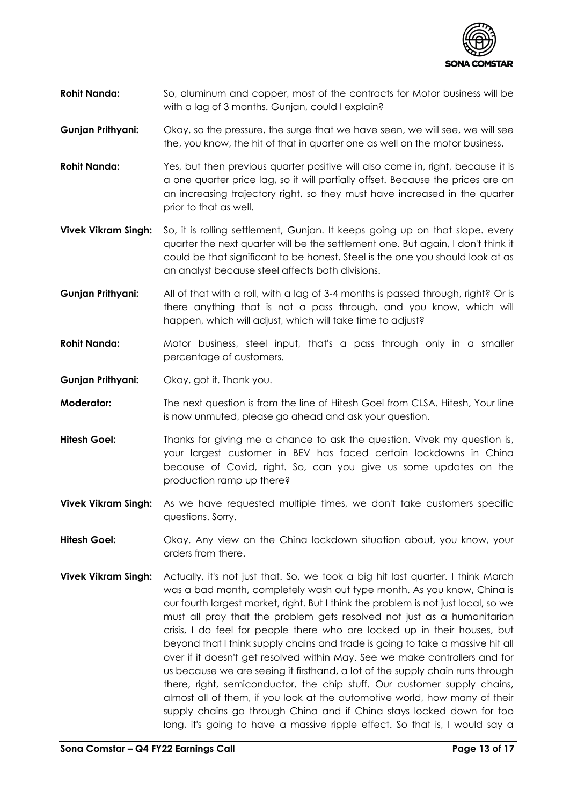

- **Rohit Nanda:** So, aluminum and copper, most of the contracts for Motor business will be with a lag of 3 months. Gunjan, could I explain?
- **Gunjan Prithyani:** Okay, so the pressure, the surge that we have seen, we will see, we will see the, you know, the hit of that in quarter one as well on the motor business.
- **Rohit Nanda:** Yes, but then previous quarter positive will also come in, right, because it is a one quarter price lag, so it will partially offset. Because the prices are on an increasing trajectory right, so they must have increased in the quarter prior to that as well.
- **Vivek Vikram Singh:** So, it is rolling settlement, Gunjan. It keeps going up on that slope. every quarter the next quarter will be the settlement one. But again, I don't think it could be that significant to be honest. Steel is the one you should look at as an analyst because steel affects both divisions.
- **Gunjan Prithyani:** All of that with a roll, with a lag of 3-4 months is passed through, right? Or is there anything that is not a pass through, and you know, which will happen, which will adjust, which will take time to adjust?
- **Rohit Nanda:** Motor business, steel input, that's a pass through only in a smaller percentage of customers.
- **Gunjan Prithyani:** Okay, got it. Thank you.
- **Moderator:** The next question is from the line of Hitesh Goel from CLSA. Hitesh, Your line is now unmuted, please go ahead and ask your question.
- **Hitesh Goel:** Thanks for giving me a chance to ask the question. Vivek my question is, your largest customer in BEV has faced certain lockdowns in China because of Covid, right. So, can you give us some updates on the production ramp up there?
- **Vivek Vikram Singh:** As we have requested multiple times, we don't take customers specific questions. Sorry.
- **Hitesh Goel:** Okay. Any view on the China lockdown situation about, you know, your orders from there.
- **Vivek Vikram Singh:** Actually, it's not just that. So, we took a big hit last quarter. I think March was a bad month, completely wash out type month. As you know, China is our fourth largest market, right. But I think the problem is not just local, so we must all pray that the problem gets resolved not just as a humanitarian crisis, I do feel for people there who are locked up in their houses, but beyond that I think supply chains and trade is going to take a massive hit all over if it doesn't get resolved within May. See we make controllers and for us because we are seeing it firsthand, a lot of the supply chain runs through there, right, semiconductor, the chip stuff. Our customer supply chains, almost all of them, if you look at the automotive world, how many of their supply chains go through China and if China stays locked down for too long, it's going to have a massive ripple effect. So that is, I would say a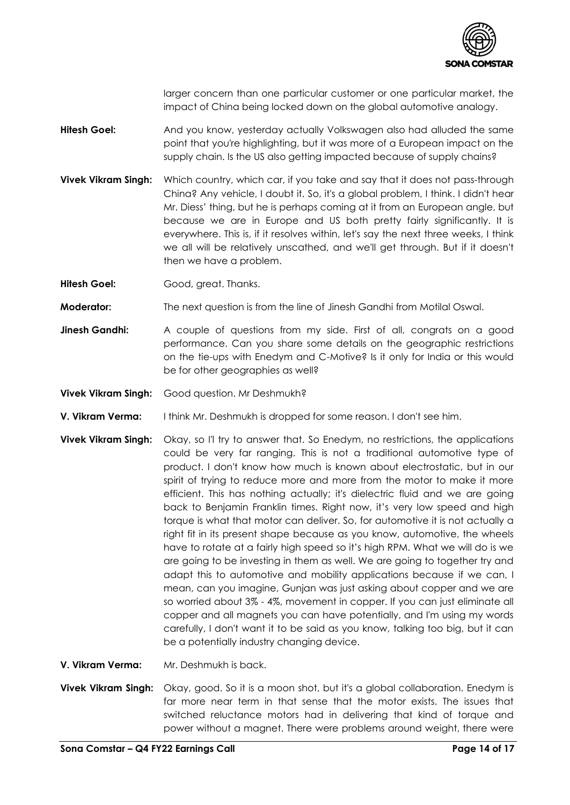

larger concern than one particular customer or one particular market, the impact of China being locked down on the global automotive analogy.

- **Hitesh Goel:** And you know, yesterday actually Volkswagen also had alluded the same point that you're highlighting, but it was more of a European impact on the supply chain. Is the US also getting impacted because of supply chains?
- **Vivek Vikram Singh:** Which country, which car, if you take and say that it does not pass-through China? Any vehicle, I doubt it. So, it's a global problem, I think. I didn't hear Mr. Diess' thing, but he is perhaps coming at it from an European angle, but because we are in Europe and US both pretty fairly significantly. It is everywhere. This is, if it resolves within, let's say the next three weeks, I think we all will be relatively unscathed, and we'll get through. But if it doesn't then we have a problem.
- **Hitesh Goel:** Good, great. Thanks.
- **Moderator:** The next question is from the line of Jinesh Gandhi from Motilal Oswal.
- **Jinesh Gandhi:** A couple of questions from my side. First of all, congrats on a good performance. Can you share some details on the geographic restrictions on the tie-ups with Enedym and C-Motive? Is it only for India or this would be for other geographies as well?
- **Vivek Vikram Singh:** Good question. Mr Deshmukh?
- **V. Vikram Verma:** I think Mr. Deshmukh is dropped for some reason. I don't see him.
- **Vivek Vikram Singh:** Okay, so I'l try to answer that. So Enedym, no restrictions, the applications could be very far ranging. This is not a traditional automotive type of product. I don't know how much is known about electrostatic, but in our spirit of trying to reduce more and more from the motor to make it more efficient. This has nothing actually; it's dielectric fluid and we are going back to Benjamin Franklin times. Right now, it's very low speed and high torque is what that motor can deliver. So, for automotive it is not actually a right fit in its present shape because as you know, automotive, the wheels have to rotate at a fairly high speed so it's high RPM. What we will do is we are going to be investing in them as well. We are going to together try and adapt this to automotive and mobility applications because if we can, I mean, can you imagine, Gunjan was just asking about copper and we are so worried about 3% - 4%, movement in copper. If you can just eliminate all copper and all magnets you can have potentially, and I'm using my words carefully, I don't want it to be said as you know, talking too big, but it can be a potentially industry changing device.
- **V. Vikram Verma:** Mr. Deshmukh is back.
- **Vivek Vikram Singh:** Okay, good. So it is a moon shot, but it's a global collaboration. Enedym is far more near term in that sense that the motor exists. The issues that switched reluctance motors had in delivering that kind of torque and power without a magnet. There were problems around weight, there were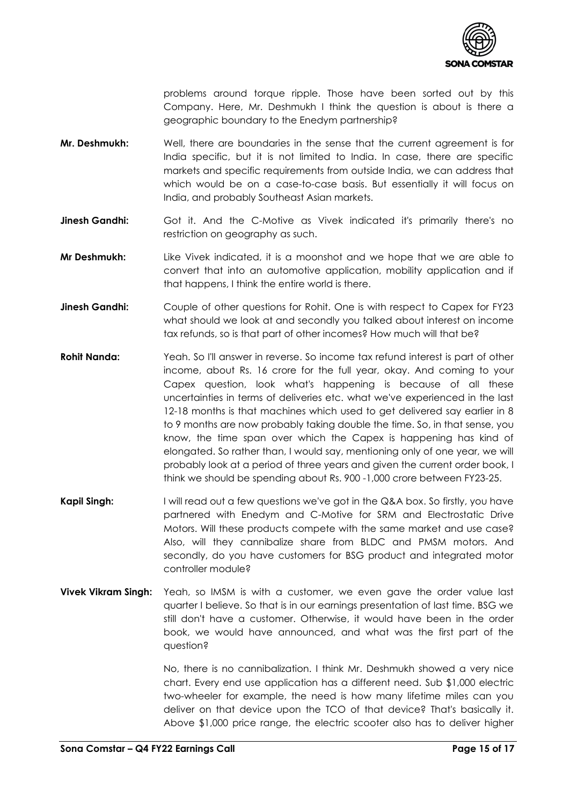

problems around torque ripple. Those have been sorted out by this Company. Here, Mr. Deshmukh I think the question is about is there a geographic boundary to the Enedym partnership?

- **Mr. Deshmukh:** Well, there are boundaries in the sense that the current agreement is for India specific, but it is not limited to India. In case, there are specific markets and specific requirements from outside India, we can address that which would be on a case-to-case basis. But essentially it will focus on India, and probably Southeast Asian markets.
- **Jinesh Gandhi:** Got it. And the C-Motive as Vivek indicated it's primarily there's no restriction on geography as such.
- **Mr Deshmukh:** Like Vivek indicated, it is a moonshot and we hope that we are able to convert that into an automotive application, mobility application and if that happens, I think the entire world is there.
- **Jinesh Gandhi:** Couple of other questions for Rohit. One is with respect to Capex for FY23 what should we look at and secondly you talked about interest on income tax refunds, so is that part of other incomes? How much will that be?
- **Rohit Nanda:** Yeah. So I'll answer in reverse. So income tax refund interest is part of other income, about Rs. 16 crore for the full year, okay. And coming to your Capex question, look what's happening is because of all these uncertainties in terms of deliveries etc. what we've experienced in the last 12-18 months is that machines which used to get delivered say earlier in 8 to 9 months are now probably taking double the time. So, in that sense, you know, the time span over which the Capex is happening has kind of elongated. So rather than, I would say, mentioning only of one year, we will probably look at a period of three years and given the current order book, I think we should be spending about Rs. 900 -1,000 crore between FY23-25.
- **Kapil Singh:** I will read out a few questions we've got in the Q&A box. So firstly, you have partnered with Enedym and C-Motive for SRM and Electrostatic Drive Motors. Will these products compete with the same market and use case? Also, will they cannibalize share from BLDC and PMSM motors. And secondly, do you have customers for BSG product and integrated motor controller module?
- **Vivek Vikram Singh:** Yeah, so IMSM is with a customer, we even gave the order value last quarter I believe. So that is in our earnings presentation of last time. BSG we still don't have a customer. Otherwise, it would have been in the order book, we would have announced, and what was the first part of the question?

No, there is no cannibalization. I think Mr. Deshmukh showed a very nice chart. Every end use application has a different need. Sub \$1,000 electric two-wheeler for example, the need is how many lifetime miles can you deliver on that device upon the TCO of that device? That's basically it. Above \$1,000 price range, the electric scooter also has to deliver higher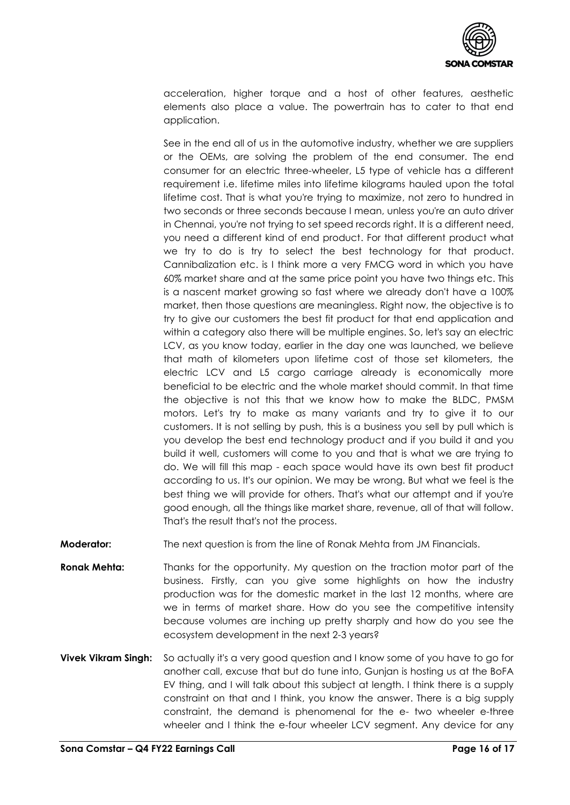

acceleration, higher torque and a host of other features, aesthetic elements also place a value. The powertrain has to cater to that end application.

See in the end all of us in the automotive industry, whether we are suppliers or the OEMs, are solving the problem of the end consumer. The end consumer for an electric three-wheeler, L5 type of vehicle has a different requirement i.e. lifetime miles into lifetime kilograms hauled upon the total lifetime cost. That is what you're trying to maximize, not zero to hundred in two seconds or three seconds because I mean, unless you're an auto driver in Chennai, you're not trying to set speed records right. It is a different need, you need a different kind of end product. For that different product what we try to do is try to select the best technology for that product. Cannibalization etc. is I think more a very FMCG word in which you have 60% market share and at the same price point you have two things etc. This is a nascent market growing so fast where we already don't have a 100% market, then those questions are meaningless. Right now, the objective is to try to give our customers the best fit product for that end application and within a category also there will be multiple engines. So, let's say an electric LCV, as you know today, earlier in the day one was launched, we believe that math of kilometers upon lifetime cost of those set kilometers, the electric LCV and L5 cargo carriage already is economically more beneficial to be electric and the whole market should commit. In that time the objective is not this that we know how to make the BLDC, PMSM motors. Let's try to make as many variants and try to give it to our customers. It is not selling by push, this is a business you sell by pull which is you develop the best end technology product and if you build it and you build it well, customers will come to you and that is what we are trying to do. We will fill this map - each space would have its own best fit product according to us. It's our opinion. We may be wrong. But what we feel is the best thing we will provide for others. That's what our attempt and if you're good enough, all the things like market share, revenue, all of that will follow. That's the result that's not the process.

**Moderator:** The next question is from the line of Ronak Mehta from JM Financials.

- **Ronak Mehta:** Thanks for the opportunity. My question on the traction motor part of the business. Firstly, can you give some highlights on how the industry production was for the domestic market in the last 12 months, where are we in terms of market share. How do you see the competitive intensity because volumes are inching up pretty sharply and how do you see the ecosystem development in the next 2-3 years?
- **Vivek Vikram Singh:** So actually it's a very good question and I know some of you have to go for another call, excuse that but do tune into, Gunjan is hosting us at the BoFA EV thing, and I will talk about this subject at length. I think there is a supply constraint on that and I think, you know the answer. There is a big supply constraint, the demand is phenomenal for the e- two wheeler e-three wheeler and I think the e-four wheeler LCV segment. Any device for any